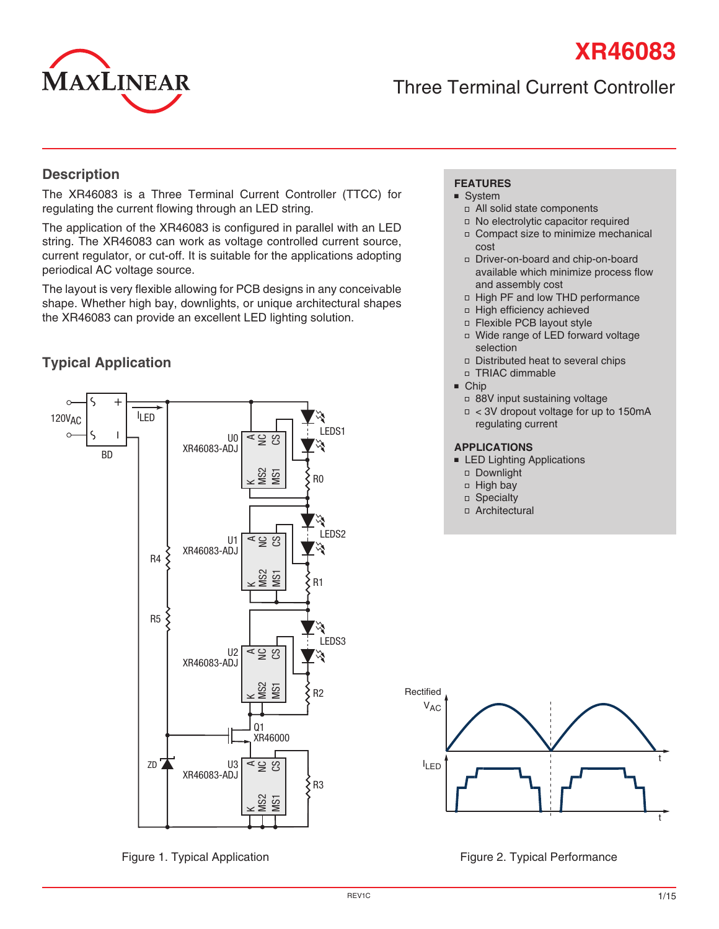# **XR46083**



# Three Terminal Current Controller

#### **Description**

The XR46083 is a Three Terminal Current Controller (TTCC) for regulating the current flowing through an LED string.

The application of the XR46083 is configured in parallel with an LED string. The XR46083 can work as voltage controlled current source, current regulator, or cut-off. It is suitable for the applications adopting periodical AC voltage source.

The layout is very flexible allowing for PCB designs in any conceivable shape. Whether high bay, downlights, or unique architectural shapes the XR46083 can provide an excellent LED lighting solution.

# **Typical Application**



#### **FEATURES**

- System
- All solid state components
- No electrolytic capacitor required
- Compact size to minimize mechanical cost
- Driver-on-board and chip-on-board available which minimize process flow and assembly cost
- □ High PF and low THD performance
- High efficiency achieved
- Flexible PCB layout style
- Wide range of LED forward voltage selection
- Distributed heat to several chips
- TRIAC dimmable
- Chip
	- 88V input sustaining voltage
	- $\Box$  < 3V dropout voltage for up to 150mA regulating current

#### **APPLICATIONS**

- LED Lighting Applications
- Downlight
- $\Box$  High bay
- Specialty
- Architectural



Figure 1. Typical Application **Figure 2. Typical Performance** Figure 2. Typical Performance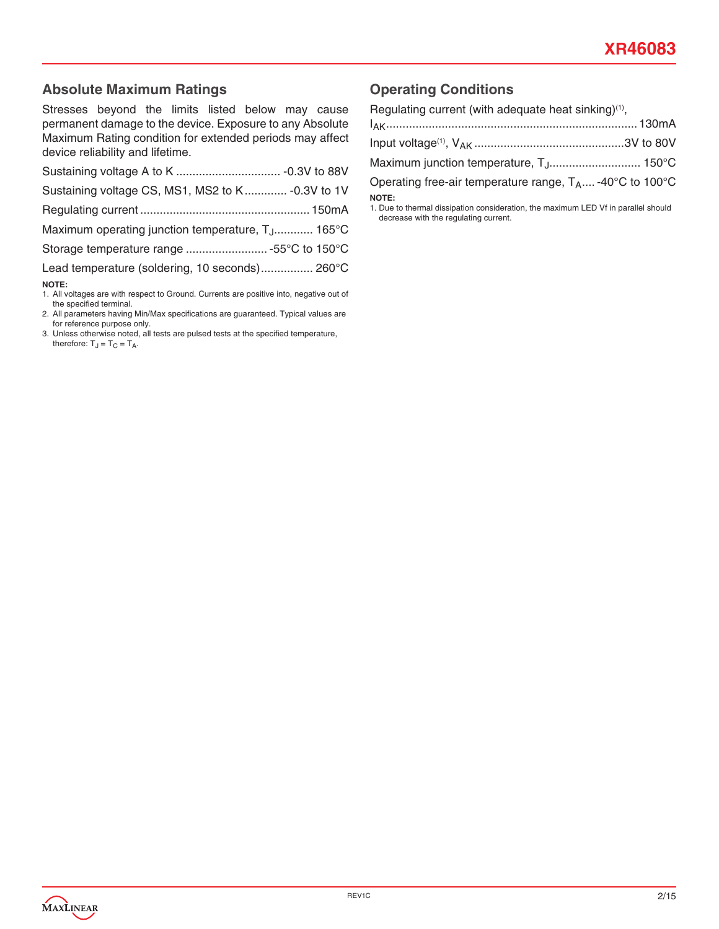#### **Absolute Maximum Ratings**

Stresses beyond the limits listed below may cause permanent damage to the device. Exposure to any Absolute Maximum Rating condition for extended periods may affect device reliability and lifetime.

| Sustaining voltage CS, MS1, MS2 to K - 0.3V to 1V             |  |
|---------------------------------------------------------------|--|
|                                                               |  |
| Maximum operating junction temperature, T <sub>.J</sub> 165°C |  |
| Storage temperature range 55°C to 150°C                       |  |
| Lead temperature (soldering, 10 seconds) 260°C                |  |
| <b>NOTE:</b>                                                  |  |

1. All voltages are with respect to Ground. Currents are positive into, negative out of the specified terminal.

2. All parameters having Min/Max specifications are guaranteed. Typical values are for reference purpose only.

3. Unless otherwise noted, all tests are pulsed tests at the specified temperature, therefore:  $T_J = T_C = T_A$ .

# **Operating Conditions**

| Regulating current (with adequate heat sinking) <sup>(1)</sup> ,                            |  |
|---------------------------------------------------------------------------------------------|--|
|                                                                                             |  |
|                                                                                             |  |
| Maximum junction temperature, T <sub>J</sub> 150°C                                          |  |
| Operating free-air temperature range, $T_A$ -40°C to 100°C                                  |  |
| NOTE:<br>1. Due to thermal dissination consideration, the maximum LED Vf in parallel should |  |

1. Due to thermal dissipation consideration, the maximum LED Vf in parallel should decrease with the regulating current.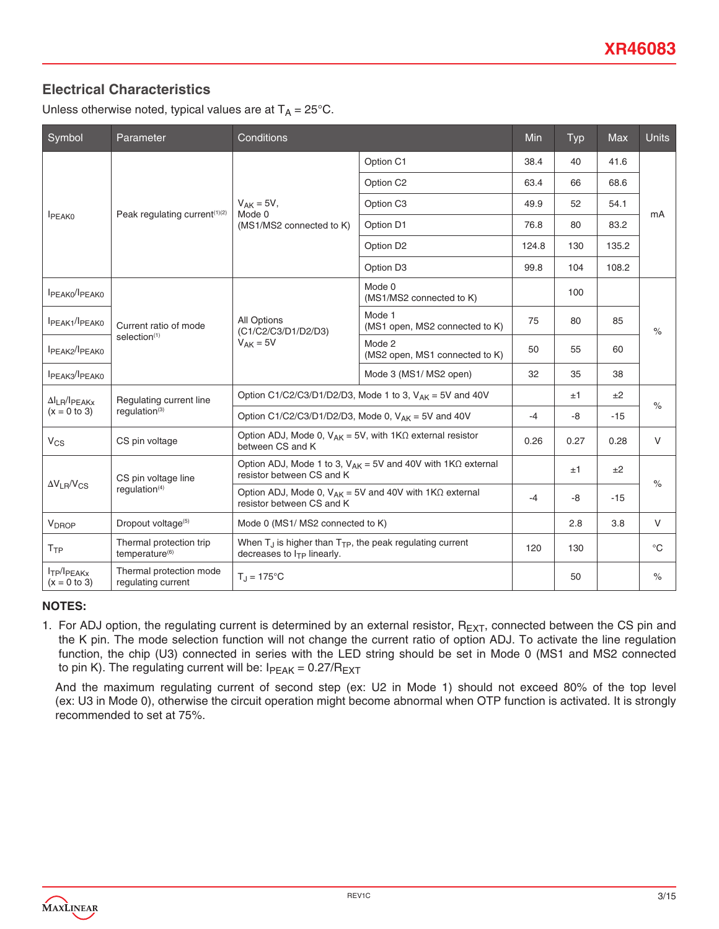# **Electrical Characteristics**

Unless otherwise noted, typical values are at  $T_A = 25^{\circ}$ C.

| Symbol                                                | Parameter                                               | Conditions                                                                                                  |                                    |       | <b>Typ</b> | Max   | <b>Units</b> |
|-------------------------------------------------------|---------------------------------------------------------|-------------------------------------------------------------------------------------------------------------|------------------------------------|-------|------------|-------|--------------|
|                                                       |                                                         | Option C1                                                                                                   | 38.4                               | 40    | 41.6       |       |              |
|                                                       |                                                         | Option C2                                                                                                   | 63.4                               | 66    | 68.6       |       |              |
|                                                       | Peak regulating current <sup>(1)(2)</sup>               | $V_{AK} = 5V$ ,<br>Mode 0                                                                                   | Option C <sub>3</sub>              | 49.9  | 52         | 54.1  | mA           |
| <b>I</b> PEAK0                                        |                                                         | (MS1/MS2 connected to K)                                                                                    | Option D1                          | 76.8  | 80         | 83.2  |              |
|                                                       |                                                         |                                                                                                             | Option D2                          | 124.8 | 130        | 135.2 |              |
|                                                       |                                                         |                                                                                                             | Option D <sub>3</sub>              | 99.8  | 104        | 108.2 |              |
| IPEAKO <sup>/I</sup> PEAKO                            |                                                         |                                                                                                             | Mode 0<br>(MS1/MS2 connected to K) |       | 100        |       | $\%$         |
| IPEAK1/IPEAK0                                         | Current ratio of mode<br>selection <sup>(1)</sup>       | Mode 1<br>All Options<br>(C1/C2/C3/D1/D2/D3)<br>$V_{AK} = 5V$<br>Mode 2                                     | (MS1 open, MS2 connected to K)     | 75    | 80         | 85    |              |
| IPEAK2/IPEAK0                                         |                                                         |                                                                                                             | (MS2 open, MS1 connected to K)     | 50    | 55         | 60    |              |
| IPEAK3/IPEAK0                                         |                                                         |                                                                                                             | Mode 3 (MS1/MS2 open)              | 32    | 35         | 38    |              |
| $\Delta I_{LR}/I_{PEAKx}$                             | Regulating current line                                 | Option C1/C2/C3/D1/D2/D3, Mode 1 to 3, $V_{AK}$ = 5V and 40V                                                |                                    |       | ±1         | ±2    | $\%$         |
| $(x = 0 to 3)$<br>requlation <sup>(3)</sup>           | Option C1/C2/C3/D1/D2/D3, Mode 0, $V_{AK} = 5V$ and 40V |                                                                                                             | $-4$                               | $-8$  | $-15$      |       |              |
| $V_{CS}$                                              | CS pin voltage                                          | Option ADJ, Mode 0, $V_{AK} = 5V$ , with $1K\Omega$ external resistor<br>between CS and K                   |                                    | 0.26  | 0.27       | 0.28  | $\vee$       |
|                                                       | CS pin voltage line                                     | Option ADJ, Mode 1 to 3, $V_{AK} = 5V$ and 40V with 1K $\Omega$ external<br>resistor between CS and K       |                                    |       | ±1         | ±2    |              |
| $\Delta V_{LR}/V_{CS}$<br>regulation $(4)$            |                                                         | Option ADJ, Mode 0, $V_{AK} = 5V$ and 40V with 1K $\Omega$ external<br>resistor between CS and K            |                                    | $-4$  | $-8$       | $-15$ | $\%$         |
| V <sub>DROP</sub>                                     | Dropout voltage <sup>(5)</sup>                          | Mode 0 (MS1/ MS2 connected to K)                                                                            |                                    |       | 2.8        | 3.8   | $\vee$       |
| T <sub>TP</sub>                                       | Thermal protection trip<br>temperature <sup>(6)</sup>   | When $T_{\perp}$ is higher than $T_{\text{TP}}$ , the peak regulating current<br>decreases to ITP linearly. |                                    |       | 130        |       | $^{\circ}C$  |
| I <sub>TP</sub> /I <sub>PEAKx</sub><br>$(x = 0 to 3)$ | Thermal protection mode<br>regulating current           | $T_1 = 175$ °C                                                                                              |                                    |       | 50         |       | $\%$         |

#### **NOTES:**

1. For ADJ option, the regulating current is determined by an external resistor,  $R_{EXT}$ , connected between the CS pin and the K pin. The mode selection function will not change the current ratio of option ADJ. To activate the line regulation function, the chip (U3) connected in series with the LED string should be set in Mode 0 (MS1 and MS2 connected to pin K). The regulating current will be:  $I_{PEAK} = 0.27/R_{EXT}$ 

 And the maximum regulating current of second step (ex: U2 in Mode 1) should not exceed 80% of the top level (ex: U3 in Mode 0), otherwise the circuit operation might become abnormal when OTP function is activated. It is strongly recommended to set at 75%.

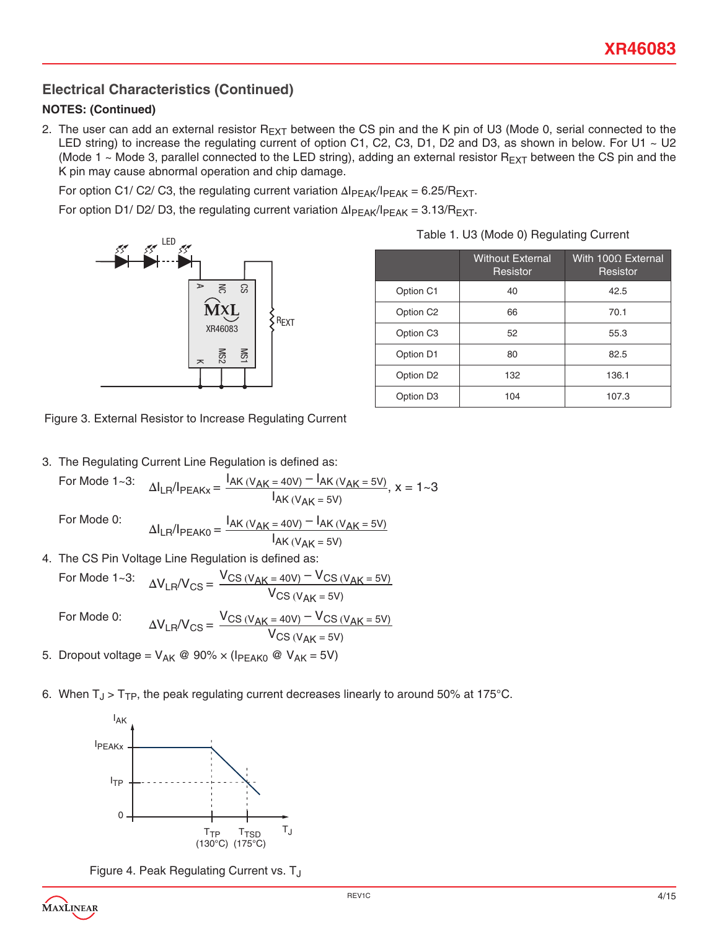# **Electrical Characteristics (Continued)**

#### **NOTES: (Continued)**

2. The user can add an external resistor  $R_{EXT}$  between the CS pin and the K pin of U3 (Mode 0, serial connected to the LED string) to increase the regulating current of option C1, C2, C3, D1, D2 and D3, as shown in below. For U1  $\sim$  U2 (Mode 1  $\sim$  Mode 3, parallel connected to the LED string), adding an external resistor R<sub>EXT</sub> between the CS pin and the K pin may cause abnormal operation and chip damage.

For option C1/ C2/ C3, the regulating current variation  $\Delta I_{PEAK}/I_{PEAK} = 6.25/R_{EXT}$ .

For option D1/ D2/ D3, the regulating current variation  $\Delta I_{PFAK}/I_{PFAK} = 3.13/R_{EXT}$ .



**Example 3**<br>Indiac = Begulating Current  $\frac{1}{2}$ Figure 3. External Resistor to Increase Regulating Current

3. The Regulating Current Line Regulation is defined as:

For Mode 1~3: 
$$
\Delta I_{LR}/I_{PEAKx} = \frac{I_{AK} (V_{AK} = 40V) - I_{AK} (V_{AK} = 5V)}{I_{AK} (V_{AK} = 5V)}
$$
,  $x = 1~3$ 

For Mode 0:

 $\Delta I_{LR}/I_{PEAK0} = \frac{I_{AK} (V_{AK} = 40V) - I_{AK} (V_{AK} = 5V)}{I}$  $I_{AK}$  (V<sub>AK</sub> = 5V)  $= 40V$ ) –  $I_{AK (V)}$ 

4. The CS Pin Voltage Line Regulation is defined as:  $1AK (V_{AK} = 5V)$ <br>So Line Bequistion is defined as:

For Mode 0:

For Mode 1~3:

$$
\Delta V_{LR}/V_{CS} = \frac{V_{CS} (V_{AK} = 40V) - V_{CS} (V_{AK} = 5V)}{V_{CS} (V_{AK} = 5V)}
$$
  

$$
\Delta V_{LR}/V_{CS} = \frac{V_{CS} (V_{AK} = 40V) - V_{CS} (V_{AK} = 5V)}{V_{CS} (V_{AK} = 5V)}
$$

5. Dropout voltage = V<sub>AK</sub> @ 90% × (I<sub>PEAK0</sub> @ V<sub>AK</sub> = 5V)  $\sim$ US (Vak = 5V)<br>= Vak @ 90% x (Ipeakn @ Vak = 5V) –  $\omega$  V<sub>AK</sub> = 5V)

6. When  ${\sf T_J}$  >  ${\sf T_{TP}}$ , the peak regulating current decreases linearly to around 50% at 175°C. Chi decreases  $V_{\rm{max}}$ 



Figure 4. Peak Regulating Current vs. T<sub>J</sub>



|  |  | Table 1. U3 (Mode 0) Regulating Current |
|--|--|-----------------------------------------|

|                       | <b>Without External</b><br>Resistor | With $100\Omega$ External<br>Resistor |
|-----------------------|-------------------------------------|---------------------------------------|
| Option C1             | 40                                  | 42.5                                  |
| Option C <sub>2</sub> | 66                                  | 70.1                                  |
| Option C <sub>3</sub> | 52                                  | 55.3                                  |
| Option D1             | 80                                  | 82.5                                  |
| Option D <sub>2</sub> | 132                                 | 136.1                                 |
| Option D <sub>3</sub> | 104                                 | 107.3                                 |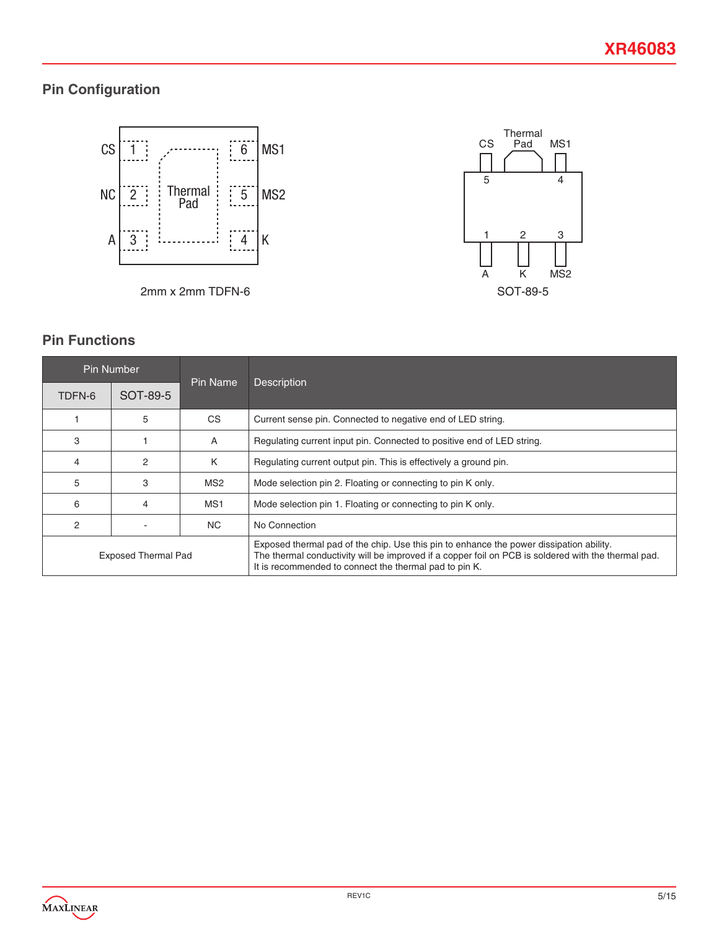# **Pin Configuration**







# **Pin Functions**

|                            | <b>Pin Number</b> | Pin Name        | <b>Description</b>                                                                                                                                                                                                                                       |  |
|----------------------------|-------------------|-----------------|----------------------------------------------------------------------------------------------------------------------------------------------------------------------------------------------------------------------------------------------------------|--|
| TDFN-6                     | SOT-89-5          |                 |                                                                                                                                                                                                                                                          |  |
|                            | 5                 | CS              | Current sense pin. Connected to negative end of LED string.                                                                                                                                                                                              |  |
| 3                          |                   | A               | Regulating current input pin. Connected to positive end of LED string.                                                                                                                                                                                   |  |
| 4                          | 2                 | K               | Regulating current output pin. This is effectively a ground pin.                                                                                                                                                                                         |  |
| 5                          | 3                 | MS <sub>2</sub> | Mode selection pin 2. Floating or connecting to pin K only.                                                                                                                                                                                              |  |
| 6                          | 4                 | MS <sub>1</sub> | Mode selection pin 1. Floating or connecting to pin K only.                                                                                                                                                                                              |  |
| 2                          |                   | NC.             | No Connection                                                                                                                                                                                                                                            |  |
| <b>Exposed Thermal Pad</b> |                   |                 | Exposed thermal pad of the chip. Use this pin to enhance the power dissipation ability.<br>The thermal conductivity will be improved if a copper foil on PCB is soldered with the thermal pad.<br>It is recommended to connect the thermal pad to pin K. |  |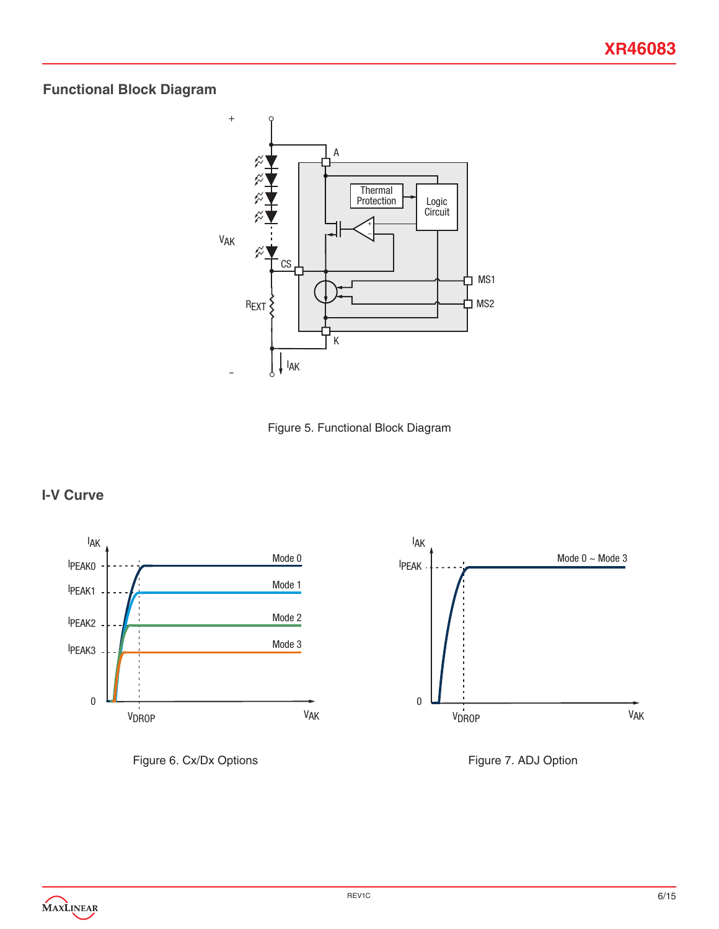# **Functional Block Diagram**





# **I-V Curve**







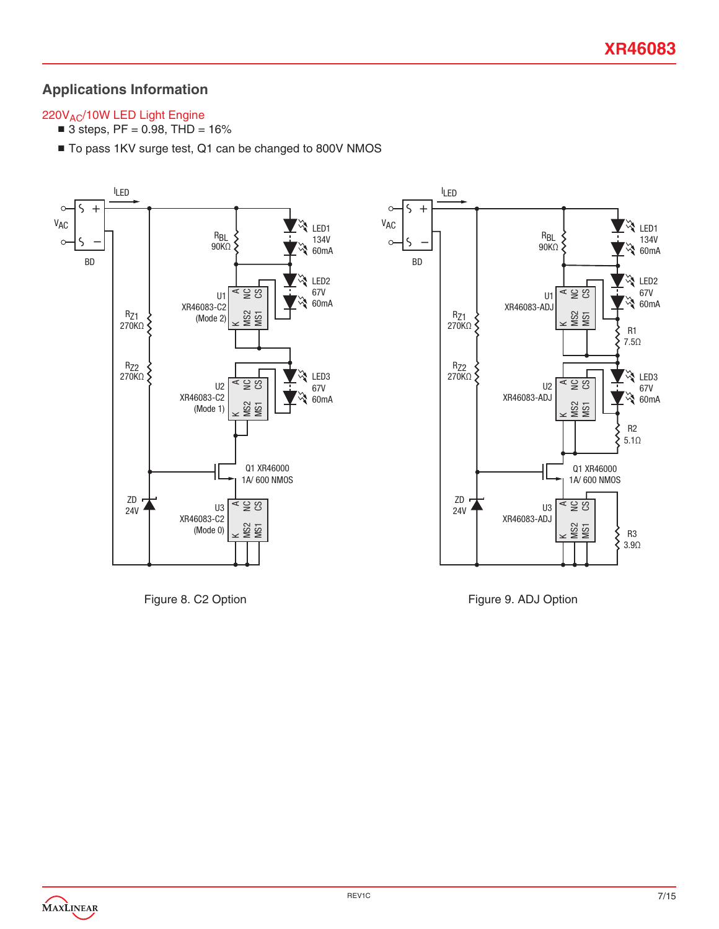# **Applications Information**

#### 220V<sub>AC</sub>/10W LED Light Engine

- $\blacksquare$  3 steps, PF = 0.98, THD = 16%
- To pass 1KV surge test, Q1 can be changed to 800V NMOS



Figure 8. C2 Option

Figure 9. ADJ Option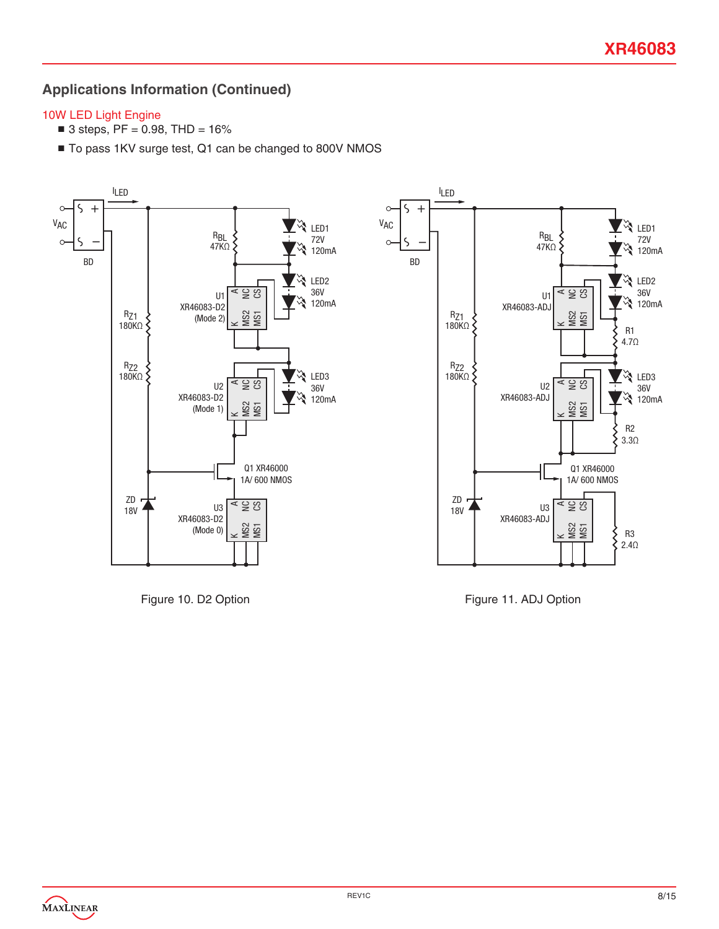# **Applications Information (Continued)**

#### 10W LED Light Engine

- $\blacksquare$  3 steps, PF = 0.98, THD = 16%
- To pass 1KV surge test, Q1 can be changed to 800V NMOS



Figure 10. D2 Option

Figure 11. ADJ Option

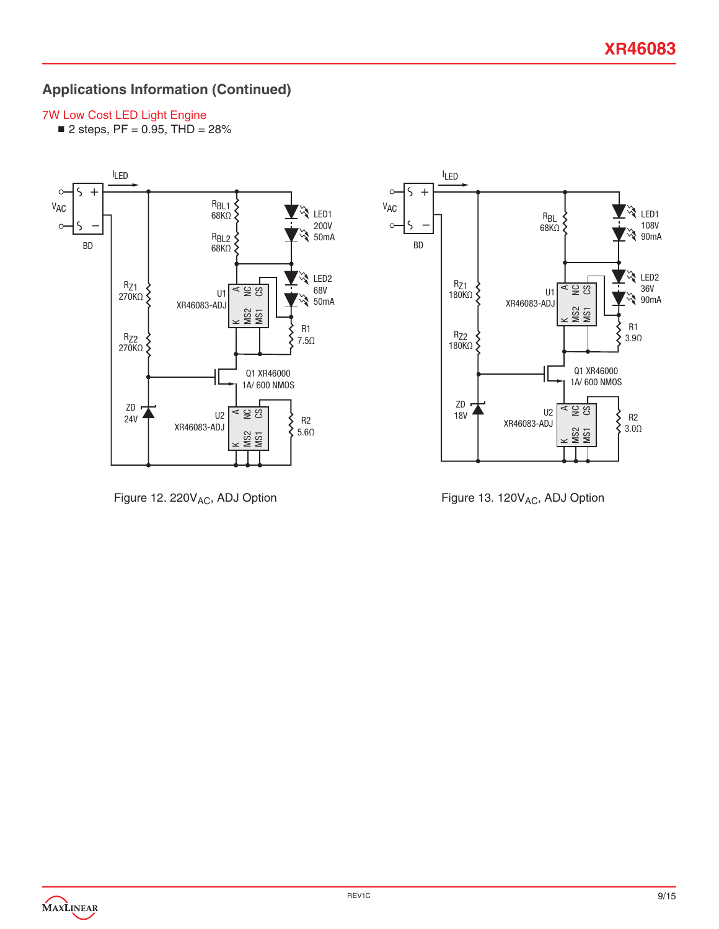# **Applications Information (Continued)**

#### 7W Low Cost LED Light Engine

 $\blacksquare$  2 steps, PF = 0.95, THD = 28%



Figure 12. 220V<sub>AC</sub>, ADJ Option



Figure 13. 120V<sub>AC</sub>, ADJ Option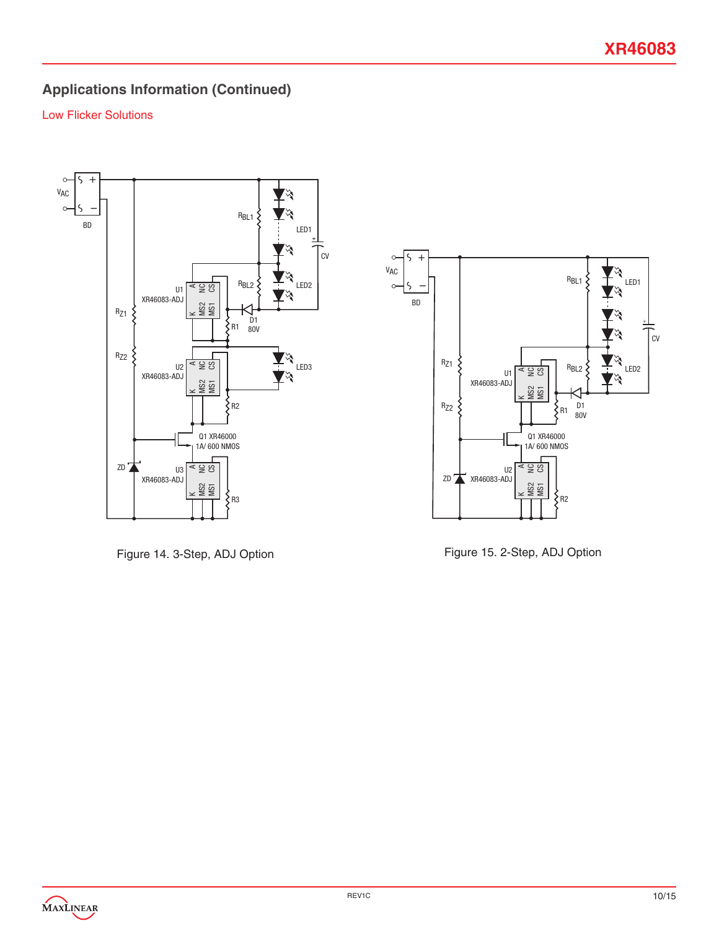# **Applications Information (Continued)**

#### Low Flicker Solutions



Figure 14. 3-Step, ADJ Option



Figure 15. 2-Step, ADJ Option

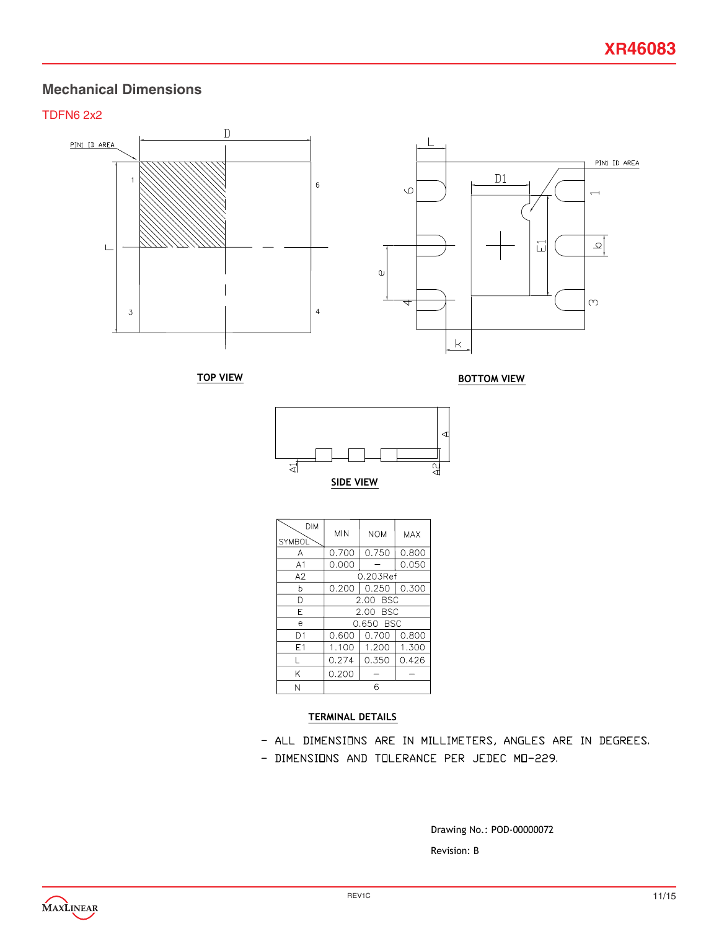#### **Mechanical Dimensions**

#### TDFN6 2x2



| DIM<br><b>SYMBOL</b> | <b>MIN</b> | <b>NOM</b> | MAX   |
|----------------------|------------|------------|-------|
| А                    | 0.700      | 0.750      | 0.800 |
| A <sub>1</sub>       | 0.000      |            | 0.050 |
| A2                   |            | 0.203Ref   |       |
| h                    | 0.200      | 0.250      | 0.300 |
| n                    | 2.00 BSC   |            |       |
| F                    | 2.00 BSC   |            |       |
| e                    |            | 0.650 BSC  |       |
| D1                   | 0.600      | 0.700      | 0.800 |
| E1                   | 1.100      | 1.200      | 1.300 |
|                      | 0.274      | 0.350      | 0.426 |
| Κ                    | 0.200      |            |       |
| Ν                    | հ          |            |       |

SIDE VIEW

#### TERMINAL DETAILS

- ALL DIMENSIONS ARE IN MILLIMETERS, ANGLES ARE IN DEGREES.
- DIMENSIONS AND TOLERANCE PER JEDEC MO-229.

Drawing No.: POD-00000072

Revision: B

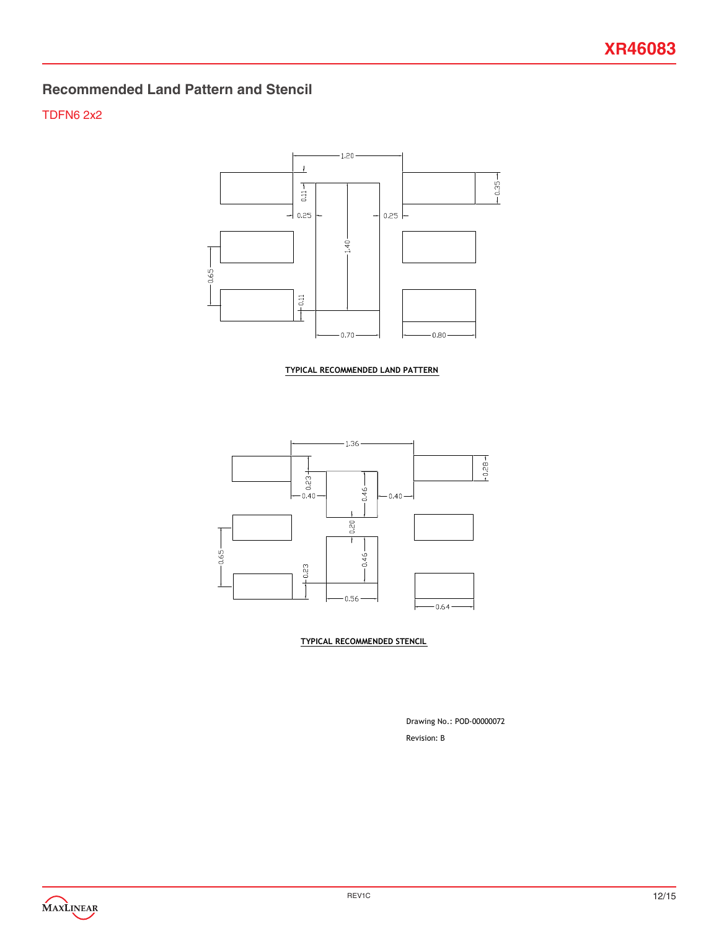# **Recommended Land Pattern and Stencil**

#### TDFN6 2x2



TYPICAL RECOMMENDED LAND PATTERN



TYPICAL RECOMMENDED STENCIL

Revision: B Drawing No.: POD-00000072

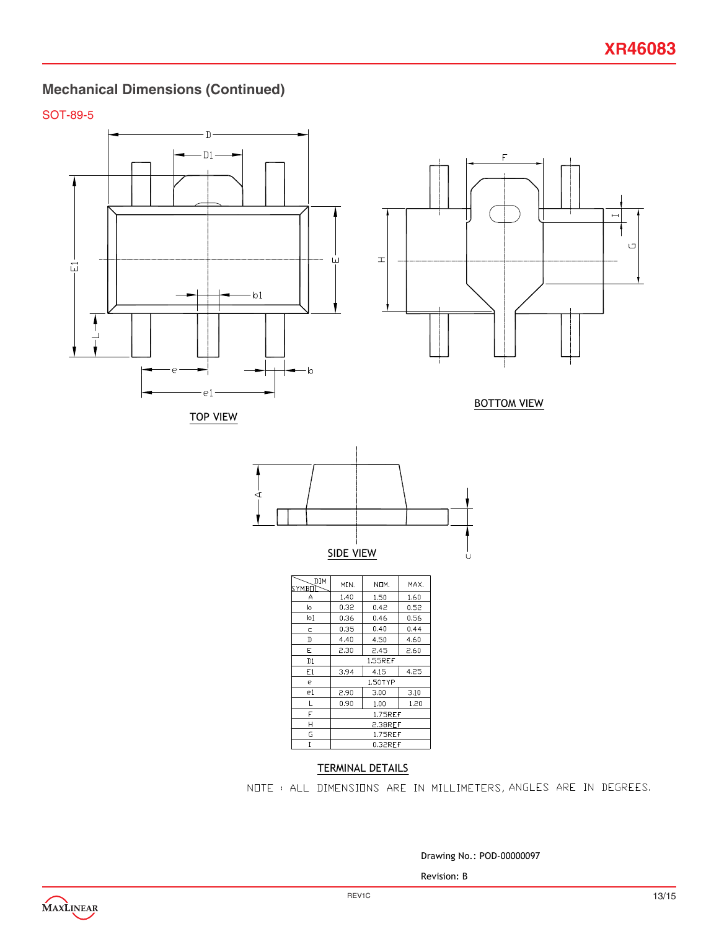# **Mechanical Dimensions (Continued)**

SOT-89-5







BOTTOM VIEW



| DIM<br>SYMBOÌ | MIN.           | NOM. | MAX. |
|---------------|----------------|------|------|
| А             | 1.40           | 1.50 | 1.60 |
| b             | 0.32           | 0.42 | 0.52 |
| b1            | 0.36           | 0.46 | 0.56 |
| c             | 0.35           | 0.40 | 0.44 |
| D             | 4.40           | 4.50 | 4.60 |
| E.            | 2.30           | 2.45 | 2.60 |
| D1            | <b>1.55REF</b> |      |      |
| E1            | 4.15<br>3.94   |      | 4.25 |
| е             | 1.50TYP        |      |      |
| e1            | 2.90           | 3.00 | 3.10 |
| L             | 0.90           | 1.00 | 1.20 |
| F             | 1.75REF        |      |      |
| Н             | 2.38REF        |      |      |
| G             | 1.75REF        |      |      |
| I             | 0.32REF        |      |      |

#### TERMINAL DETAILS

NOTE: ALL DIMENSIONS ARE IN MILLIMETERS, ANGLES ARE IN DEGREES.

Drawing No.: POD-00000097

Revision: B

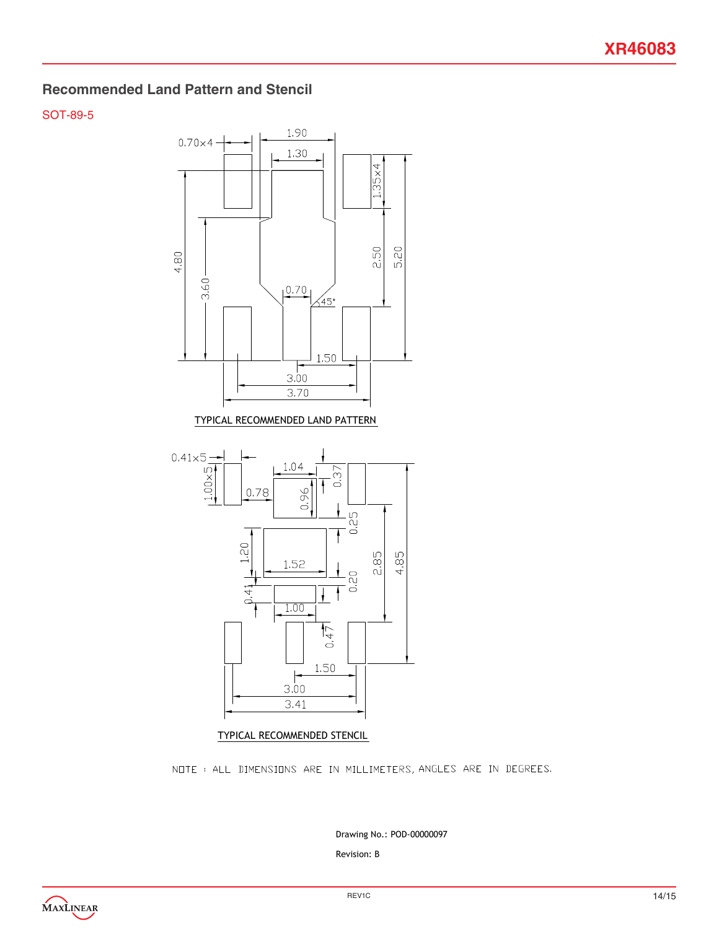#### **Recommended Land Pattern and Stencil**

#### SOT-89-5



NOTE: ALL DIMENSIONS ARE IN MILLIMETERS, ANGLES ARE IN DEGREES.

Revision: B Drawing No.: POD-00000097